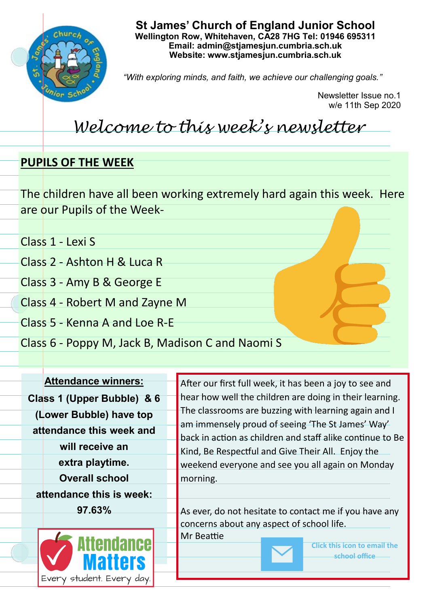

**St James' Church of England Junior School Wellington Row, Whitehaven, CA28 7HG Tel: 01946 695311 Email: admin@stjamesjun.cumbria.sch.uk Website: www.stjamesjun.cumbria.sch.uk**

*"With exploring minds, and faith, we achieve our challenging goals."*

Newsletter Issue no.1 w/e 11th Sep 2020

## *Welcome to this week's newsletter*

## **PUPILS OF THE WEEK**

The children have all been working extremely hard again this week. Here are our Pupils of the Week-

Class 1 - Lexi S

Class 2 - Ashton H & Luca R

Class 3 - Amy B & George E

Class 4 - Robert M and Zayne M

Class 5 - Kenna A and Loe R-E

Class 6 - Poppy M, Jack B, Madison C and Naomi S

**Attendance winners: Class 1 (Upper Bubble) & 6 (Lower Bubble) have top attendance this week and will receive an extra playtime. Overall school attendance this is week: 97.63%** 



After our first full week, it has been a joy to see and hear how well the children are doing in their learning. The classrooms are buzzing with learning again and I am immensely proud of seeing 'The St James' Way' back in action as children and staff alike continue to Be Kind, Be Respectful and Give Their All. Enjoy the weekend everyone and see you all again on Monday morning.

As ever, do not hesitate to contact me if you have any concerns about any aspect of school life. Mr Beattie



**Click this icon to email the school office**